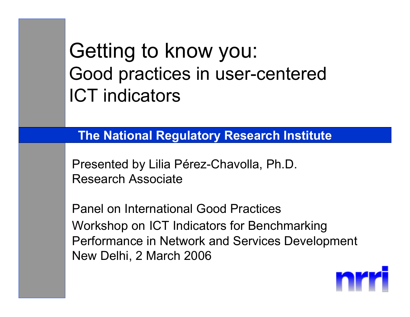#### Getting to know you: Good practices in user-centered ICT indicators

#### **The National Regulatory Research Institute**

Presented by Lilia Pérez-Chavolla, Ph.D. Research Associate

Panel on International Good PracticesWorkshop on ICT Indicators for Benchmarking Performance in Network and Services Development New Delhi, 2 March 2006

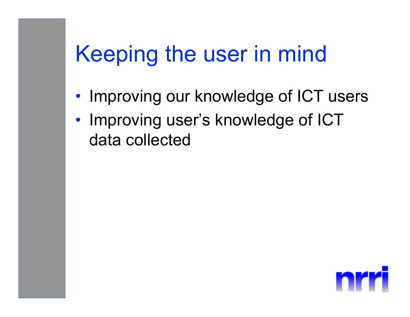## Keeping the user in mind

- •• Improving our knowledge of ICT users
- $\bullet$ • Improving user's knowledge of ICT data collected

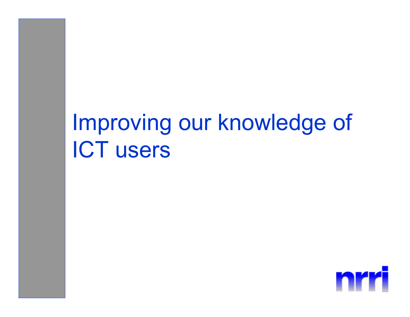## Improving our knowledge of ICT users

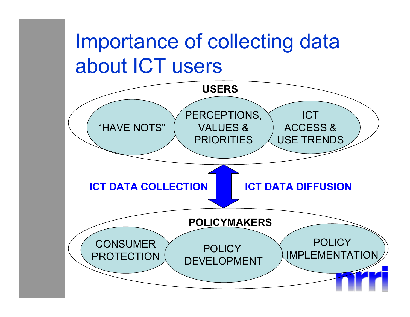#### Importance of collecting data about ICT users

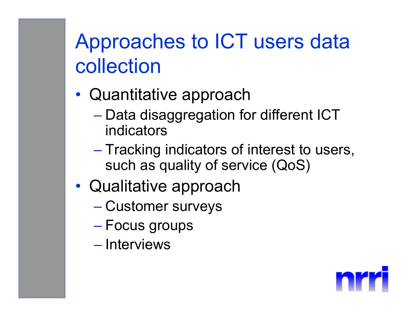## Approaches to ICT users data collection

- $\bullet$  Quantitative approach
	- $-$  Data disaggregation for different ICT  $\,$ indicators
	- Tracking indicators of interest to users, such as quality of service (QoS)
- $\bullet$  Qualitative approach
	- Customer surveys
	- Focus groups
	- Interviews

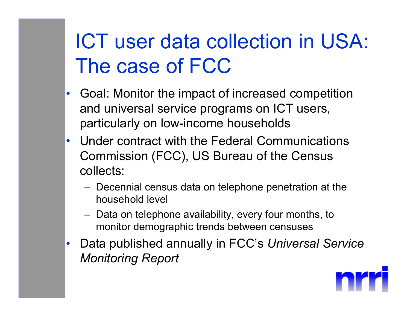## ICT user data collection in USA: The case of FCC

- • Goal: Monitor the impact of increased competition and universal service programs on ICT users, particularly on low-income households
- • Under contract with the Federal Communications Commission (FCC), US Bureau of the Census collects:
	- $-$  Decennial census data on telephone penetration at the  $\overline{\phantom{a}}$ household level
	- $-$  Data on telephone availability, every four months, to monitor demographic trends between censuses
- • Data published annually in FCC's *Universal Service Monitoring Report*

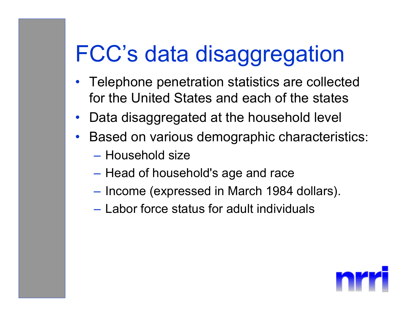## FCC's data disaggregation

- Telephone penetration statistics are collected for the United States and each of the states
- •Data disaggregated at the household level
- • Based on various demographic characteristics:
	- Household size
	- –– Head of household's age and race
	- –– Income (expressed in March 1984 dollars).
	- Labor force status for adult individuals

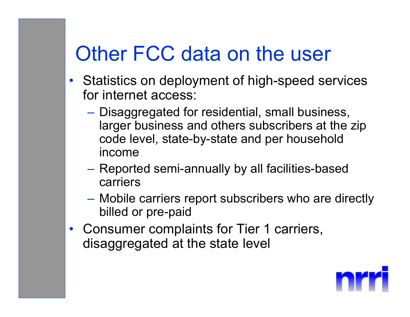#### Other FCC data on the user

- Statistics on deployment of high-speed services for internet access:
	- Disaggregated for residential, small business, larger business and others subscribers at the zip code level, state-by-state and per household income
	- Reported semi-annually by all facilities-based carriers
	- $\mathcal{L}_{\mathcal{A}}$  Mobile carriers report subscribers who are directly billed or pre-paid
- Consumer complaints for Tier 1 carriers, disaggregated at the state level

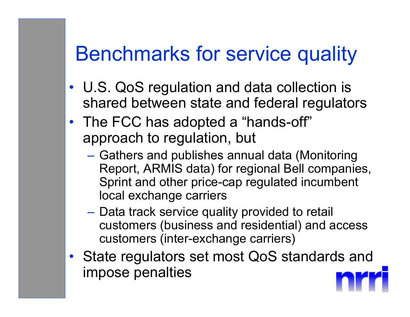#### Benchmarks for service quality

- U.S. QoS regulation and data collection is shared between state and federal regulators
- The FCC has adopted a "hands-off" approach to regulation, but
	- $\mathcal{L}_{\mathcal{A}}$ – Gathers and publishes annual data (Monitoring Report, ARMIS data) for regional Bell companies, Sprint and other price-cap regulated incumbent local exchange carriers
	- Data track service quality provided to retail customers (business and residential) and access customers (inter-exchange carriers)
- State regulators set most QoS standards and impose penalties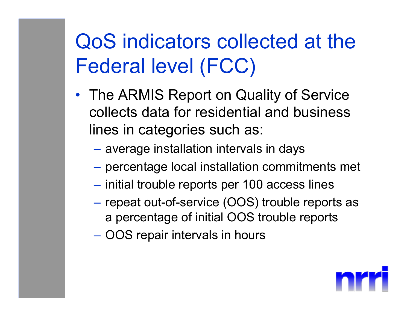## QoS indicators collected at the Federal level (FCC)

- The ARMIS Report on Quality of Service collects data for residential and business lines in categories such as:
	- average installation intervals in days
	- $-$  percentage local installation commitments met
	- $-$  initial trouble reports per 100 access lines
	- $-$  repeat out-of-service (OOS) trouble reports as  $\overline{\phantom{a}}$ a percentage of initial OOS trouble reports
	- OOS repair intervals in hours

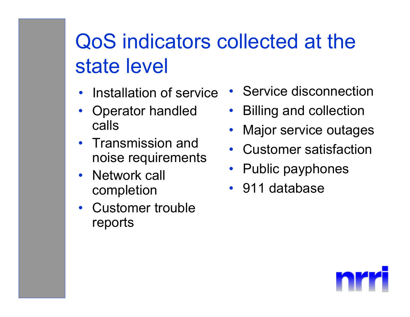## QoS indicators collected at the state level

- •Installation of service
- • Operator handled calls
- Transmission and noise requirements
- $\bullet$  Network call completion
- Customer trouble reports
- Service disconnection
- •Billing and collection
- •Major service outages
- Customer satisfaction
- Public payphones
- 911 database

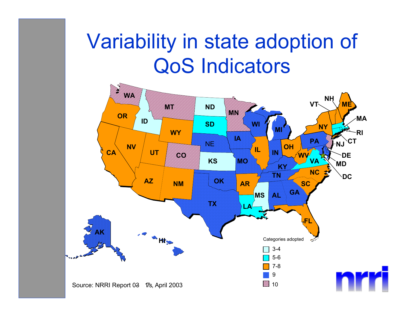#### Variability in state adoption of QoS Indicators

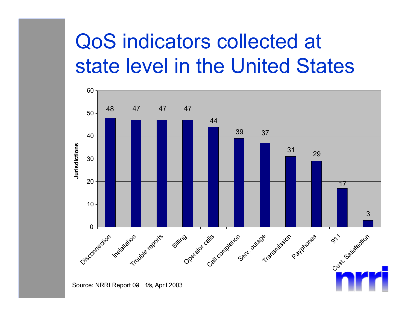## QoS indicators collected at state level in the United States

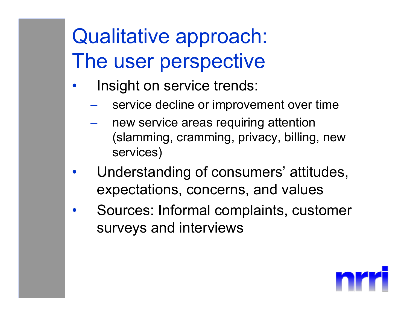## Qualitative approach: The user perspective

- • Insight on service trends:
	- service decline or improvement over time
	- new service areas requiring attention (slamming, cramming, privacy, billing, new services)
- • Understanding of consumers' attitudes, expectations, concerns, and values
- • Sources: Informal complaints, customer surveys and interviews

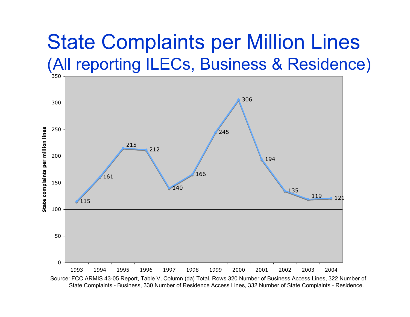#### State Complaints per Million Lines (All reporting ILECs, Business & Residence)



Source: FCC ARMIS 43-05 Report, Table V, Column (da) Total, Rows 320 Number of Business Access Lines, 322 Number of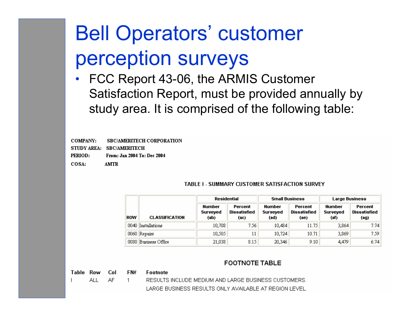## Bell Operators' customer perception surveys

• FCC Report 43-06, the ARMIS Customer Satisfaction Report, must be provided annually by study area. It is comprised of the following table:

**COMPANY: SBC/AMERITECH CORPORATION** 

STUDY AREA: SBC/AMERITECH

From: Jan 2004 To: Dec 2004 PERIOD:

 $COSA$ : **AMTR** 

| TABLE I - SUMMARY CUSTOMER SATISFACTION SURVEY |  |  |  |
|------------------------------------------------|--|--|--|
|------------------------------------------------|--|--|--|

|            | <b>CLASSIFICATION</b> | Residential                |                                 | <b>Small Business</b>             |                                 | <b>Large Business</b>             |                                        |
|------------|-----------------------|----------------------------|---------------------------------|-----------------------------------|---------------------------------|-----------------------------------|----------------------------------------|
| <b>ROW</b> |                       | Number<br>Surveyed<br>(ab) | Percent<br>Dissatisfied<br>(ac) | <b>Number</b><br>Surveyed<br>(ad) | Percent<br>Dissatisfied<br>(ae) | <b>Number</b><br>Surveyed<br>(af) | Percent<br><b>Dissatisfied</b><br>(ag) |
| 0040       | Installations         | 10,708                     | 7.56                            | 10,484                            | 11.75                           | 3,864                             | 7.74                                   |
|            | 0060 Repairs          | 10,505                     | 11                              | 10,724                            | 10.71                           | 3,869                             | 7.59                                   |
| 0080       | Business Office       | 21,038                     | 8.15                            | 20,346                            | 9.10                            | 4,479                             | 6.74                                   |

#### **FOOTNOTE TABLE**

Table Row Col FN# **Footnote** ALL AF. RESULTS INCLUDE MEDIUM AND LARGE BUSINESS CUSTOMERS.  $\mathbf{1}$ LARGE BUSINESS RESULTS ONLY AVAILABLE AT REGION LEVEL.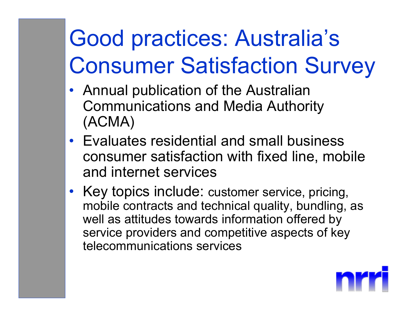# Good practices: Australia's Consumer Satisfaction Survey

- Annual publication of the Australian Communications and Media Authority (ACMA)
- Evaluates residential and small business consumer satisfaction with fixed line, mobile and internet services
- Key topics include: customer service, pricing, mobile contracts and technical quality, bundling, as well as attitudes towards information offered by service providers and competitive aspects of key telecommunications services

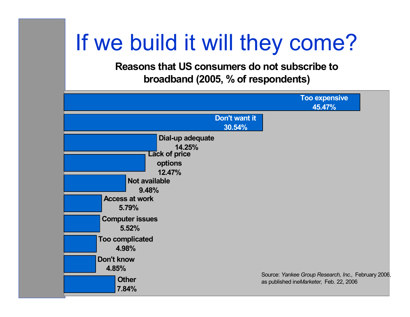## If we build it will they come?

**Reasons that US consumers do not subscribe to broadband (2005, % of respondents)**

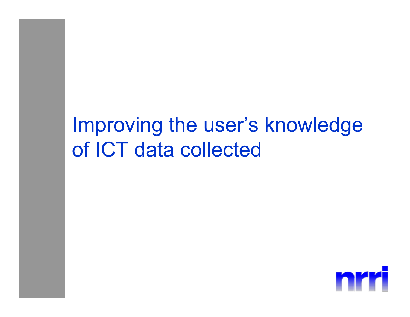#### Improving the user's knowledge of ICT data collected

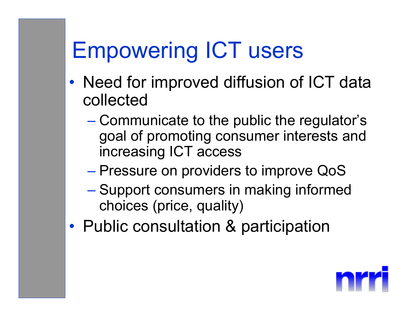## Empowering ICT users

- $\bullet$ • Need for improved diffusion of ICT data collected
	- Communicate to the public the regulator's goal of promoting consumer interests and increasing ICT access
	- Pressure on providers to improve QoS
	- Support consumers in making informed choices (price, quality)
- •Public consultation & participation

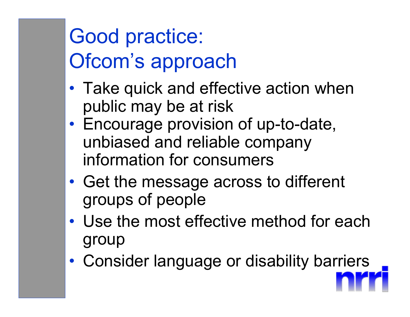## Good practice: Ofcom's approach

- $\bullet$ • Take quick and effective action when public may be at risk
- $\bullet$  Encourage provision of up-to-date, unbiased and reliable company information for consumers
- • Get the message across to different groups of people
- Use the most effective method for each group
- •Consider language or disability barriers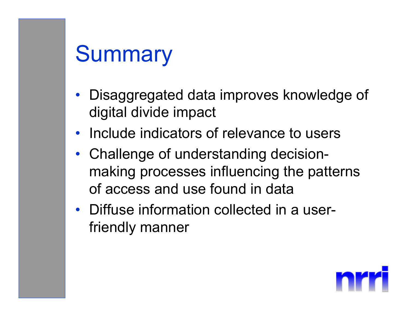## **Summary**

- Disaggregated data improves knowledge of digital divide impact
- $\bullet$ Include indicators of relevance to users
- Challenge of understanding decisionmaking processes influencing the patterns of access and use found in data
- Diffuse information collected in a userfriendly manner